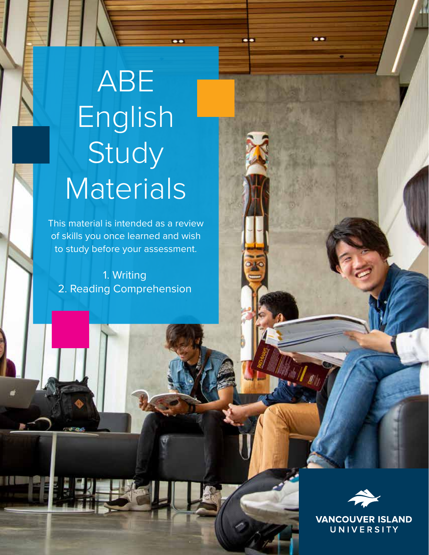# ABE English Study **Materials**

 $\bullet$ 

..

This material is intended as a review of skills you once learned and wish to study before your assessment.

1. Writing 2. Reading Comprehension



..

**VANCOUVER ISLAND** UNIVERSITY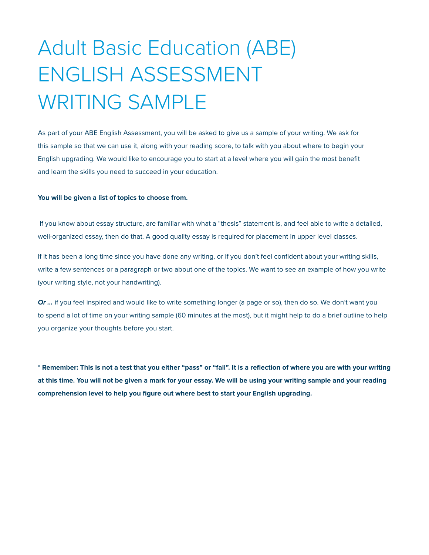# Adult Basic Education (ABE) ENGLISH ASSESSMENT WRITING SAMPLE

As part of your ABE English Assessment, you will be asked to give us a sample of your writing. We ask for this sample so that we can use it, along with your reading score, to talk with you about where to begin your English upgrading. We would like to encourage you to start at a level where you will gain the most benefit and learn the skills you need to succeed in your education.

#### **You will be given a list of topics to choose from.**

 If you know about essay structure, are familiar with what a "thesis" statement is, and feel able to write a detailed, well-organized essay, then do that. A good quality essay is required for placement in upper level classes.

If it has been a long time since you have done any writing, or if you don't feel confident about your writing skills, write a few sentences or a paragraph or two about one of the topics. We want to see an example of how you write (your writing style, not your handwriting).

*Or …* if you feel inspired and would like to write something longer (a page or so), then do so. We don't want you to spend a lot of time on your writing sample (60 minutes at the most), but it might help to do a brief outline to help you organize your thoughts before you start.

**\* Remember: This is not a test that you either "pass" or "fail". It is a reflection of where you are with your writing at this time. You will not be given a mark for your essay. We will be using your writing sample and your reading comprehension level to help you figure out where best to start your English upgrading.**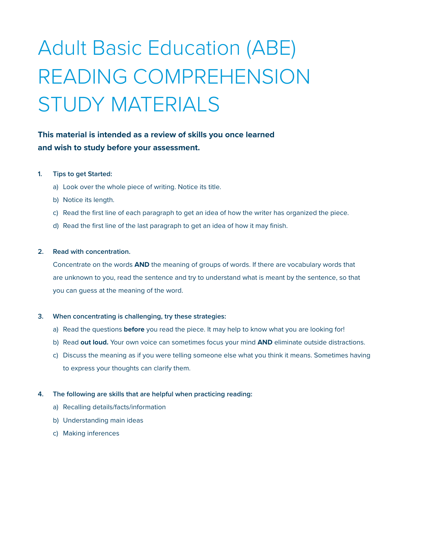# Adult Basic Education (ABE) READING COMPREHENSION STUDY MATERIALS

### **This material is intended as a review of skills you once learned and wish to study before your assessment.**

#### **1. Tips to get Started:**

- a) Look over the whole piece of writing. Notice its title.
- b) Notice its length.
- c) Read the first line of each paragraph to get an idea of how the writer has organized the piece.
- d) Read the first line of the last paragraph to get an idea of how it may finish.

#### **2. Read with concentration.**

Concentrate on the words **AND** the meaning of groups of words. If there are vocabulary words that are unknown to you, read the sentence and try to understand what is meant by the sentence, so that you can guess at the meaning of the word.

#### **3. When concentrating is challenging, try these strategies:**

- a) Read the questions **before** you read the piece. It may help to know what you are looking for!
- b) Read **out loud.** Your own voice can sometimes focus your mind **AND** eliminate outside distractions.
- c) Discuss the meaning as if you were telling someone else what you think it means. Sometimes having to express your thoughts can clarify them.

#### **4. The following are skills that are helpful when practicing reading:**

- a) Recalling details/facts/information
- b) Understanding main ideas
- c) Making inferences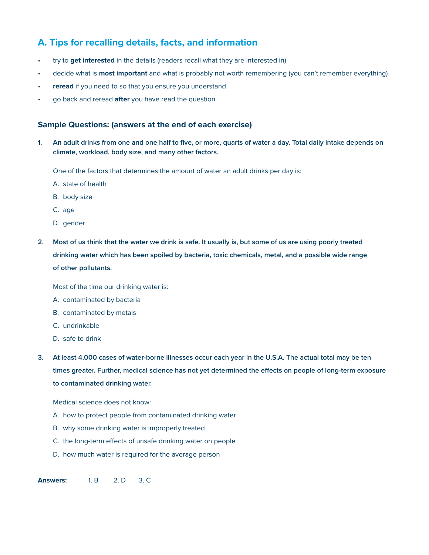# **A. Tips for recalling details, facts, and information**

- try to **get interested** in the details (readers recall what they are interested in)
- decide what is **most important** and what is probably not worth remembering (you can't remember everything)
- reread if you need to so that you ensure you understand
- go back and reread **after** you have read the question

#### **Sample Questions: (answers at the end of each exercise)**

**1. An adult drinks from one and one half to five, or more, quarts of water a day. Total daily intake depends on climate, workload, body size, and many other factors.**

One of the factors that determines the amount of water an adult drinks per day is:

- A. state of health
- B. body size
- C. age
- D. gender
- **2. Most of us think that the water we drink is safe. It usually is, but some of us are using poorly treated drinking water which has been spoiled by bacteria, toxic chemicals, metal, and a possible wide range of other pollutants.**

Most of the time our drinking water is:

- A. contaminated by bacteria
- B. contaminated by metals
- C. undrinkable
- D. safe to drink
- **3. At least 4,000 cases of water-borne illnesses occur each year in the U.S.A. The actual total may be ten times greater. Further, medical science has not yet determined the effects on people of long-term exposure to contaminated drinking water.**

Medical science does not know:

- A. how to protect people from contaminated drinking water
- B. why some drinking water is improperly treated
- C. the long-term effects of unsafe drinking water on people
- D. how much water is required for the average person

**Answers:** 1. B 2. D 3. C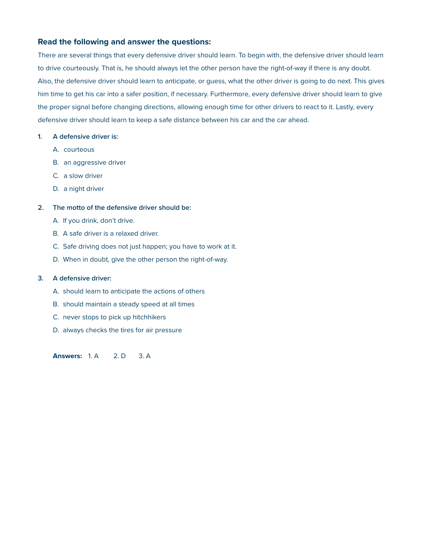#### **Read the following and answer the questions:**

There are several things that every defensive driver should learn. To begin with, the defensive driver should learn to drive courteously. That is, he should always let the other person have the right-of-way if there is any doubt. Also, the defensive driver should learn to anticipate, or guess, what the other driver is going to do next. This gives him time to get his car into a safer position, if necessary. Furthermore, every defensive driver should learn to give the proper signal before changing directions, allowing enough time for other drivers to react to it. Lastly, every defensive driver should learn to keep a safe distance between his car and the car ahead.

#### **1. A defensive driver is:**

- A. courteous
- B. an aggressive driver
- C. a slow driver
- D. a night driver

#### **2. The motto of the defensive driver should be:**

- A. If you drink, don't drive.
- B. A safe driver is a relaxed driver.
- C. Safe driving does not just happen; you have to work at it.
- D. When in doubt, give the other person the right-of-way.

#### **3. A defensive driver:**

- A. should learn to anticipate the actions of others
- B. should maintain a steady speed at all times
- C. never stops to pick up hitchhikers
- D. always checks the tires for air pressure

**Answers:** 1. A 2. D 3. A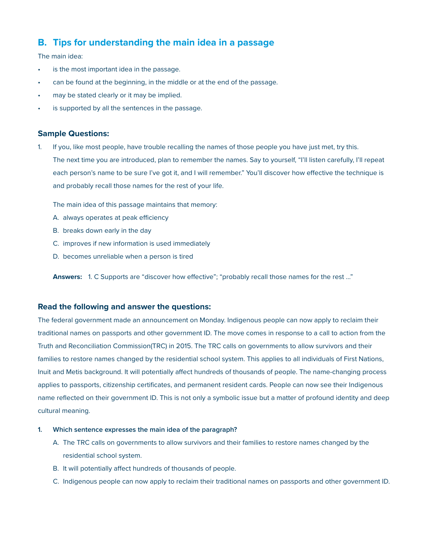## **B. Tips for understanding the main idea in a passage**

The main idea:

- is the most important idea in the passage.
- can be found at the beginning, in the middle or at the end of the passage.
- may be stated clearly or it may be implied.
- is supported by all the sentences in the passage.

#### **Sample Questions:**

1. If you, like most people, have trouble recalling the names of those people you have just met, try this. The next time you are introduced, plan to remember the names. Say to yourself, "I'll listen carefully, I'll repeat each person's name to be sure I've got it, and I will remember." You'll discover how effective the technique is and probably recall those names for the rest of your life.

The main idea of this passage maintains that memory:

- A. always operates at peak efficiency
- B. breaks down early in the day
- C. improves if new information is used immediately
- D. becomes unreliable when a person is tired

**Answers:** 1. C Supports are "discover how effective"; "probably recall those names for the rest …"

#### **Read the following and answer the questions:**

The federal government made an announcement on Monday. Indigenous people can now apply to reclaim their traditional names on passports and other government ID. The move comes in response to a call to action from the Truth and Reconciliation Commission(TRC) in 2015. The TRC calls on governments to allow survivors and their families to restore names changed by the residential school system. This applies to all individuals of First Nations, Inuit and Metis background. It will potentially affect hundreds of thousands of people. The name-changing process applies to passports, citizenship certificates, and permanent resident cards. People can now see their Indigenous name reflected on their government ID. This is not only a symbolic issue but a matter of profound identity and deep cultural meaning.

#### **1. Which sentence expresses the main idea of the paragraph?**

- A. The TRC calls on governments to allow survivors and their families to restore names changed by the residential school system.
- B. It will potentially affect hundreds of thousands of people.
- C. Indigenous people can now apply to reclaim their traditional names on passports and other government ID.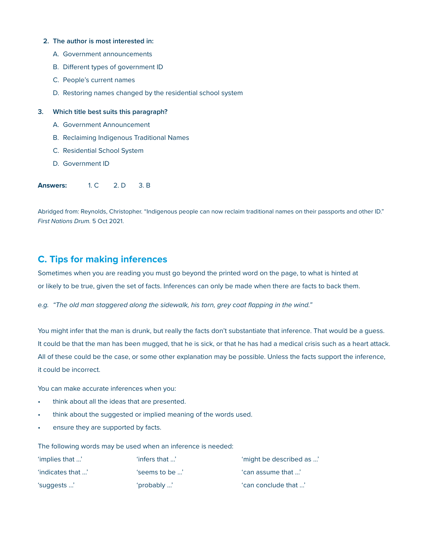#### **2. The author is most interested in:**

- A. Government announcements
- B. Different types of government ID
- C. People's current names
- D. Restoring names changed by the residential school system

#### **3. Which title best suits this paragraph?**

- A. Government Announcement
- B. Reclaiming Indigenous Traditional Names
- C. Residential School System
- D. Government ID

**Answers:** 1. C 2. D 3. B

Abridged from: Reynolds, Christopher. "Indigenous people can now reclaim traditional names on their passports and other ID." *First Nations Drum.* 5 Oct 2021.

### **C. Tips for making inferences**

Sometimes when you are reading you must go beyond the printed word on the page, to what is hinted at or likely to be true, given the set of facts. Inferences can only be made when there are facts to back them.

*e.g. "The old man staggered along the sidewalk, his torn, grey coat flapping in the wind."*

You might infer that the man is drunk, but really the facts don't substantiate that inference. That would be a guess. It could be that the man has been mugged, that he is sick, or that he has had a medical crisis such as a heart attack. All of these could be the case, or some other explanation may be possible. Unless the facts support the inference, it could be incorrect.

You can make accurate inferences when you:

- think about all the ideas that are presented.
- think about the suggested or implied meaning of the words used.
- ensure they are supported by facts.

The following words may be used when an inference is needed:

| 'implies that '  | 'infers that $\mathbb{R}^{\prime}$ | 'might be described as ' |
|------------------|------------------------------------|--------------------------|
| " indicates that | 'seems to be …'                    | 'can assume that '       |
| 'suggests '      | 'probably '                        | 'can conclude that '     |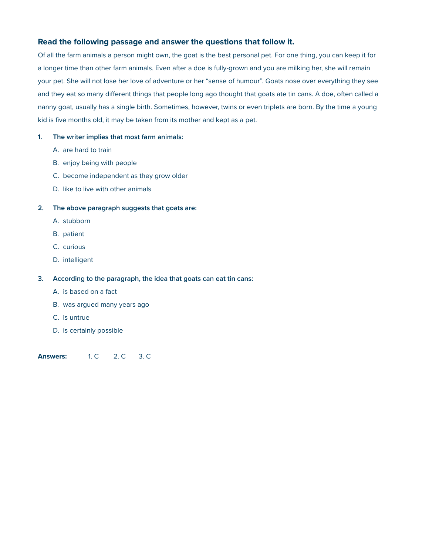#### **Read the following passage and answer the questions that follow it.**

Of all the farm animals a person might own, the goat is the best personal pet. For one thing, you can keep it for a longer time than other farm animals. Even after a doe is fully-grown and you are milking her, she will remain your pet. She will not lose her love of adventure or her "sense of humour". Goats nose over everything they see and they eat so many different things that people long ago thought that goats ate tin cans. A doe, often called a nanny goat, usually has a single birth. Sometimes, however, twins or even triplets are born. By the time a young kid is five months old, it may be taken from its mother and kept as a pet.

#### **1. The writer implies that most farm animals:**

- A. are hard to train
- B. enjoy being with people
- C. become independent as they grow older
- D. like to live with other animals

#### **2. The above paragraph suggests that goats are:**

- A. stubborn
- B. patient
- C. curious
- D. intelligent

#### **3. According to the paragraph, the idea that goats can eat tin cans:**

- A. is based on a fact
- B. was argued many years ago
- C. is untrue
- D. is certainly possible

**Answers:** 1. C 2. C 3. C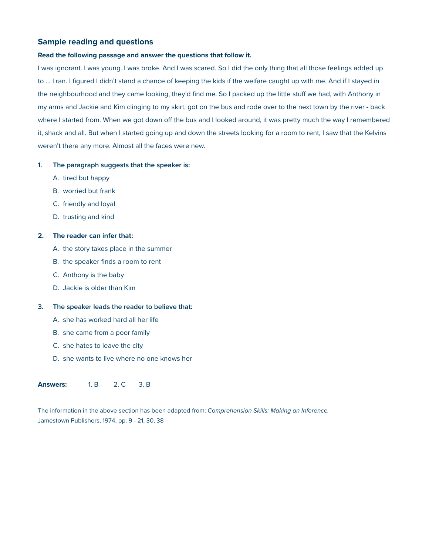#### **Sample reading and questions**

#### **Read the following passage and answer the questions that follow it.**

I was ignorant. I was young. I was broke. And I was scared. So I did the only thing that all those feelings added up to … I ran. I figured I didn't stand a chance of keeping the kids if the welfare caught up with me. And if I stayed in the neighbourhood and they came looking, they'd find me. So I packed up the little stuff we had, with Anthony in my arms and Jackie and Kim clinging to my skirt, got on the bus and rode over to the next town by the river - back where I started from. When we got down off the bus and I looked around, it was pretty much the way I remembered it, shack and all. But when I started going up and down the streets looking for a room to rent, I saw that the Kelvins weren't there any more. Almost all the faces were new.

#### **1. The paragraph suggests that the speaker is:**

- A. tired but happy
- B. worried but frank
- C. friendly and loyal
- D. trusting and kind

#### **2. The reader can infer that:**

- A. the story takes place in the summer
- B. the speaker finds a room to rent
- C. Anthony is the baby
- D. Jackie is older than Kim

#### **3. The speaker leads the reader to believe that:**

- A. she has worked hard all her life
- B. she came from a poor family
- C. she hates to leave the city
- D. she wants to live where no one knows her

#### **Answers:** 1. B 2. C 3. B

The information in the above section has been adapted from: *Comprehension Skills: Making an Inference.* Jamestown Publishers, 1974, pp. 9 - 21, 30, 38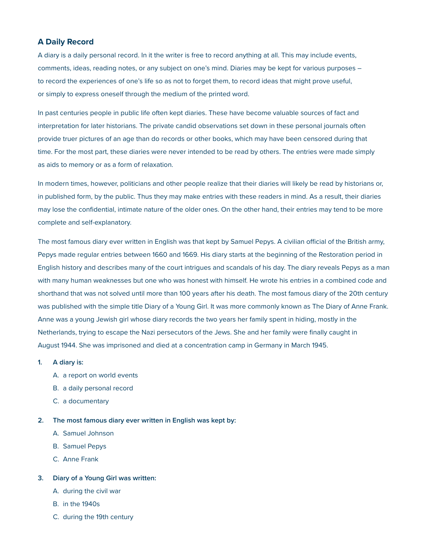#### **A Daily Record**

A diary is a daily personal record. In it the writer is free to record anything at all. This may include events, comments, ideas, reading notes, or any subject on one's mind. Diaries may be kept for various purposes – to record the experiences of one's life so as not to forget them, to record ideas that might prove useful, or simply to express oneself through the medium of the printed word.

In past centuries people in public life often kept diaries. These have become valuable sources of fact and interpretation for later historians. The private candid observations set down in these personal journals often provide truer pictures of an age than do records or other books, which may have been censored during that time. For the most part, these diaries were never intended to be read by others. The entries were made simply as aids to memory or as a form of relaxation.

In modern times, however, politicians and other people realize that their diaries will likely be read by historians or, in published form, by the public. Thus they may make entries with these readers in mind. As a result, their diaries may lose the confidential, intimate nature of the older ones. On the other hand, their entries may tend to be more complete and self-explanatory.

The most famous diary ever written in English was that kept by Samuel Pepys. A civilian official of the British army, Pepys made regular entries between 1660 and 1669. His diary starts at the beginning of the Restoration period in English history and describes many of the court intrigues and scandals of his day. The diary reveals Pepys as a man with many human weaknesses but one who was honest with himself. He wrote his entries in a combined code and shorthand that was not solved until more than 100 years after his death. The most famous diary of the 20th century was published with the simple title Diary of a Young Girl. It was more commonly known as The Diary of Anne Frank. Anne was a young Jewish girl whose diary records the two years her family spent in hiding, mostly in the Netherlands, trying to escape the Nazi persecutors of the Jews. She and her family were finally caught in August 1944. She was imprisoned and died at a concentration camp in Germany in March 1945.

#### **1. A diary is:**

- A. a report on world events
- B. a daily personal record
- C. a documentary

**2. The most famous diary ever written in English was kept by:**

- A. Samuel Johnson
- B. Samuel Pepys
- C. Anne Frank

#### **3. Diary of a Young Girl was written:**

- A. during the civil war
- B. in the 1940s
- C. during the 19th century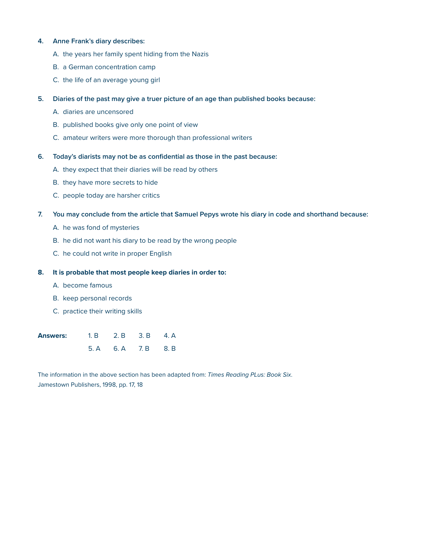#### **4. Anne Frank's diary describes:**

- A. the years her family spent hiding from the Nazis
- B. a German concentration camp
- C. the life of an average young girl
- **5. Diaries of the past may give a truer picture of an age than published books because:**
	- A. diaries are uncensored
	- B. published books give only one point of view
	- C. amateur writers were more thorough than professional writers

#### **6. Today's diarists may not be as confidential as those in the past because:**

- A. they expect that their diaries will be read by others
- B. they have more secrets to hide
- C. people today are harsher critics
- **7. You may conclude from the article that Samuel Pepys wrote his diary in code and shorthand because:**
	- A. he was fond of mysteries
	- B. he did not want his diary to be read by the wrong people
	- C. he could not write in proper English

#### **8. It is probable that most people keep diaries in order to:**

- A. become famous
- B. keep personal records
- C. practice their writing skills

| <b>Answers:</b> | 1. B 2. B 3. B 4. A |  |
|-----------------|---------------------|--|
|                 | 5. A 6. A 7. B 8. B |  |

The information in the above section has been adapted from: *Times Reading PLus: Book Six*. Jamestown Publishers, 1998, pp. 17, 18